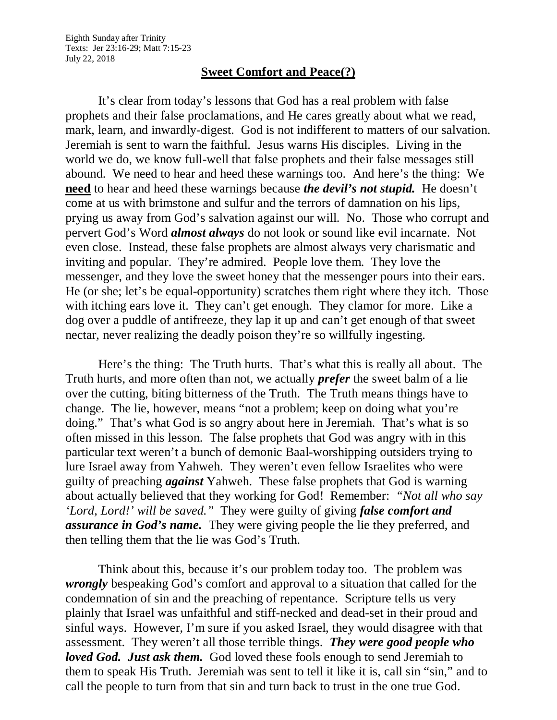## **Sweet Comfort and Peace(?)**

It's clear from today's lessons that God has a real problem with false prophets and their false proclamations, and He cares greatly about what we read, mark, learn, and inwardly-digest. God is not indifferent to matters of our salvation. Jeremiah is sent to warn the faithful. Jesus warns His disciples. Living in the world we do, we know full-well that false prophets and their false messages still abound. We need to hear and heed these warnings too. And here's the thing: We **need** to hear and heed these warnings because *the devil's not stupid.* He doesn't come at us with brimstone and sulfur and the terrors of damnation on his lips, prying us away from God's salvation against our will. No. Those who corrupt and pervert God's Word *almost always* do not look or sound like evil incarnate. Not even close. Instead, these false prophets are almost always very charismatic and inviting and popular. They're admired. People love them. They love the messenger, and they love the sweet honey that the messenger pours into their ears. He (or she; let's be equal-opportunity) scratches them right where they itch. Those with itching ears love it. They can't get enough. They clamor for more. Like a dog over a puddle of antifreeze, they lap it up and can't get enough of that sweet nectar, never realizing the deadly poison they're so willfully ingesting.

Here's the thing: The Truth hurts. That's what this is really all about. The Truth hurts, and more often than not, we actually *prefer* the sweet balm of a lie over the cutting, biting bitterness of the Truth. The Truth means things have to change. The lie, however, means "not a problem; keep on doing what you're doing." That's what God is so angry about here in Jeremiah. That's what is so often missed in this lesson. The false prophets that God was angry with in this particular text weren't a bunch of demonic Baal-worshipping outsiders trying to lure Israel away from Yahweh. They weren't even fellow Israelites who were guilty of preaching *against* Yahweh. These false prophets that God is warning about actually believed that they working for God! Remember: *"Not all who say 'Lord, Lord!' will be saved."* They were guilty of giving *false comfort and assurance in God's name.* They were giving people the lie they preferred, and then telling them that the lie was God's Truth.

Think about this, because it's our problem today too. The problem was *wrongly* bespeaking God's comfort and approval to a situation that called for the condemnation of sin and the preaching of repentance. Scripture tells us very plainly that Israel was unfaithful and stiff-necked and dead-set in their proud and sinful ways. However, I'm sure if you asked Israel, they would disagree with that assessment. They weren't all those terrible things. *They were good people who loved God. Just ask them.* God loved these fools enough to send Jeremiah to them to speak His Truth. Jeremiah was sent to tell it like it is, call sin "sin," and to call the people to turn from that sin and turn back to trust in the one true God.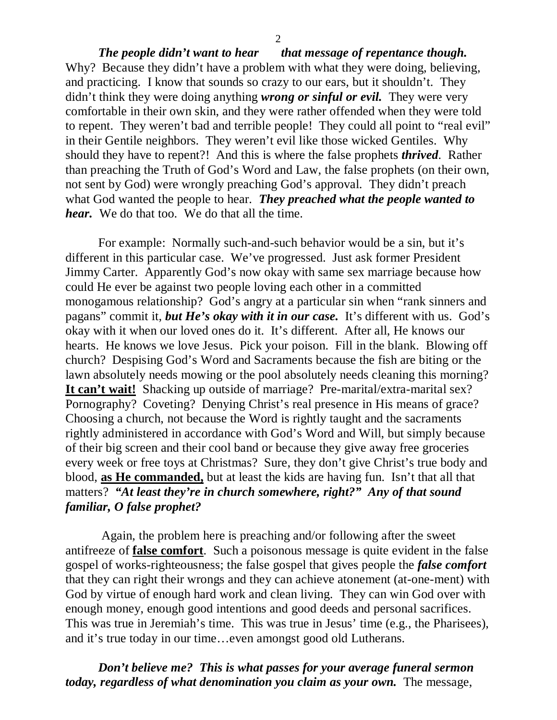*The people didn't want to hear that message of repentance though.* Why? Because they didn't have a problem with what they were doing, believing, and practicing. I know that sounds so crazy to our ears, but it shouldn't. They didn't think they were doing anything *wrong or sinful or evil.* They were very comfortable in their own skin, and they were rather offended when they were told to repent. They weren't bad and terrible people! They could all point to "real evil" in their Gentile neighbors. They weren't evil like those wicked Gentiles. Why should they have to repent?! And this is where the false prophets *thrived*. Rather than preaching the Truth of God's Word and Law, the false prophets (on their own, not sent by God) were wrongly preaching God's approval. They didn't preach what God wanted the people to hear. *They preached what the people wanted to hear.* We do that too. We do that all the time.

For example: Normally such-and-such behavior would be a sin, but it's different in this particular case. We've progressed. Just ask former President Jimmy Carter. Apparently God's now okay with same sex marriage because how could He ever be against two people loving each other in a committed monogamous relationship? God's angry at a particular sin when "rank sinners and pagans" commit it, *but He's okay with it in our case.* It's different with us. God's okay with it when our loved ones do it. It's different. After all, He knows our hearts. He knows we love Jesus. Pick your poison. Fill in the blank. Blowing off church? Despising God's Word and Sacraments because the fish are biting or the lawn absolutely needs mowing or the pool absolutely needs cleaning this morning? **It can't wait!** Shacking up outside of marriage? Pre-marital/extra-marital sex? Pornography? Coveting? Denying Christ's real presence in His means of grace? Choosing a church, not because the Word is rightly taught and the sacraments rightly administered in accordance with God's Word and Will, but simply because of their big screen and their cool band or because they give away free groceries every week or free toys at Christmas? Sure, they don't give Christ's true body and blood, **as He commanded,** but at least the kids are having fun. Isn't that all that matters? *"At least they're in church somewhere, right?" Any of that sound familiar, O false prophet?*

Again, the problem here is preaching and/or following after the sweet antifreeze of **false comfort**. Such a poisonous message is quite evident in the false gospel of works-righteousness; the false gospel that gives people the *false comfort* that they can right their wrongs and they can achieve atonement (at-one-ment) with God by virtue of enough hard work and clean living. They can win God over with enough money, enough good intentions and good deeds and personal sacrifices. This was true in Jeremiah's time. This was true in Jesus' time (e.g., the Pharisees), and it's true today in our time…even amongst good old Lutherans.

*Don't believe me? This is what passes for your average funeral sermon today, regardless of what denomination you claim as your own.* The message,